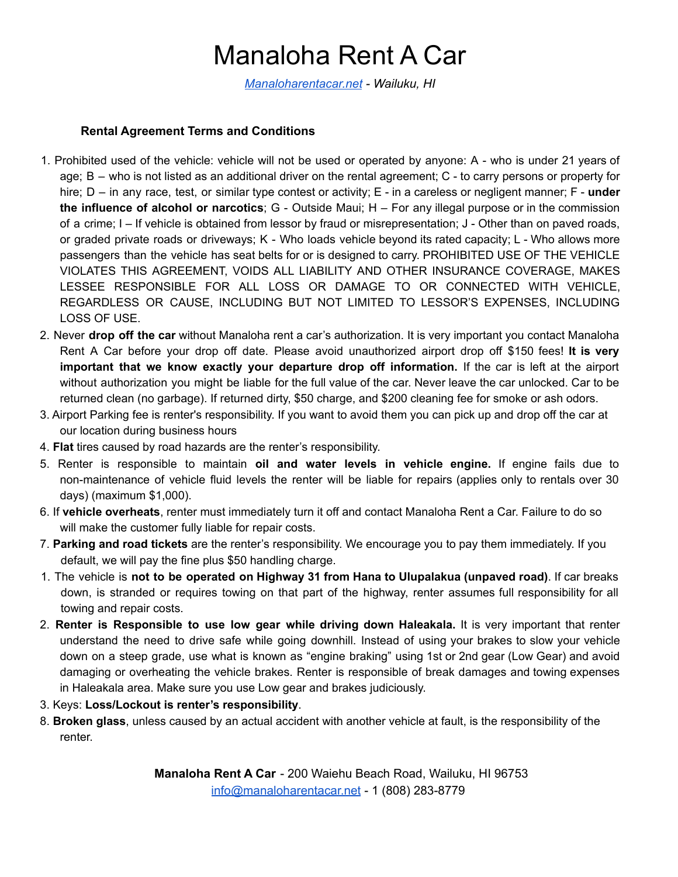## Manaloha Rent A Car

*Manaloharentacar.net - Wailuku, HI*

#### **Rental Agreement Terms and Conditions**

- 1. Prohibited used of the vehicle: vehicle will not be used or operated by anyone: A who is under 21 years of age; B – who is not listed as an additional driver on the rental agreement; C - to carry persons or property for hire; D – in any race, test, or similar type contest or activity; E - in a careless or negligent manner; F - **under the influence of alcohol or narcotics**; G - Outside Maui; H – For any illegal purpose or in the commission of a crime; I – If vehicle is obtained from lessor by fraud or misrepresentation; J - Other than on paved roads, or graded private roads or driveways; K - Who loads vehicle beyond its rated capacity; L - Who allows more passengers than the vehicle has seat belts for or is designed to carry. PROHIBITED USE OF THE VEHICLE VIOLATES THIS AGREEMENT, VOIDS ALL LIABILITY AND OTHER INSURANCE COVERAGE, MAKES LESSEE RESPONSIBLE FOR ALL LOSS OR DAMAGE TO OR CONNECTED WITH VEHICLE, REGARDLESS OR CAUSE, INCLUDING BUT NOT LIMITED TO LESSOR'S EXPENSES, INCLUDING LOSS OF USE.
- 2. Never **drop off the car** without Manaloha rent a car's authorization. It is very important you contact Manaloha Rent A Car before your drop off date. Please avoid unauthorized airport drop off \$150 fees! **It is very important that we know exactly your departure drop off information.** If the car is left at the airport without authorization you might be liable for the full value of the car. Never leave the car unlocked. Car to be returned clean (no garbage). If returned dirty, \$50 charge, and \$200 cleaning fee for smoke or ash odors.
- 3. Airport Parking fee is renter's responsibility. If you want to avoid them you can pick up and drop off the car at our location during business hours
- 4. **Flat** tires caused by road hazards are the renter's responsibility.
- 5. Renter is responsible to maintain **oil and water levels in vehicle engine.** If engine fails due to non-maintenance of vehicle fluid levels the renter will be liable for repairs (applies only to rentals over 30 days) (maximum \$1,000).
- 6. If **vehicle overheats**, renter must immediately turn it off and contact Manaloha Rent a Car. Failure to do so will make the customer fully liable for repair costs.
- 7. **Parking and road tickets** are the renter's responsibility. We encourage you to pay them immediately. If you default, we will pay the fine plus \$50 handling charge.
- 1. The vehicle is **not to be operated on Highway 31 from Hana to Ulupalakua (unpaved road)**. If car breaks down, is stranded or requires towing on that part of the highway, renter assumes full responsibility for all towing and repair costs.
- 2. **Renter is Responsible to use low gear while driving down Haleakala.** It is very important that renter understand the need to drive safe while going downhill. Instead of using your brakes to slow your vehicle down on a steep grade, use what is known as "engine braking" using 1st or 2nd gear (Low Gear) and avoid damaging or overheating the vehicle brakes. Renter is responsible of break damages and towing expenses in Haleakala area. Make sure you use Low gear and brakes judiciously.
- 3. Keys: **Loss/Lockout is renter's responsibility**.
- 8. **Broken glass**, unless caused by an actual accident with another vehicle at fault, is the responsibility of the renter.

**Manaloha Rent A Car** - 200 Waiehu Beach Road, Wailuku, HI 96753 info@manaloharentacar.net - 1 (808) 283-8779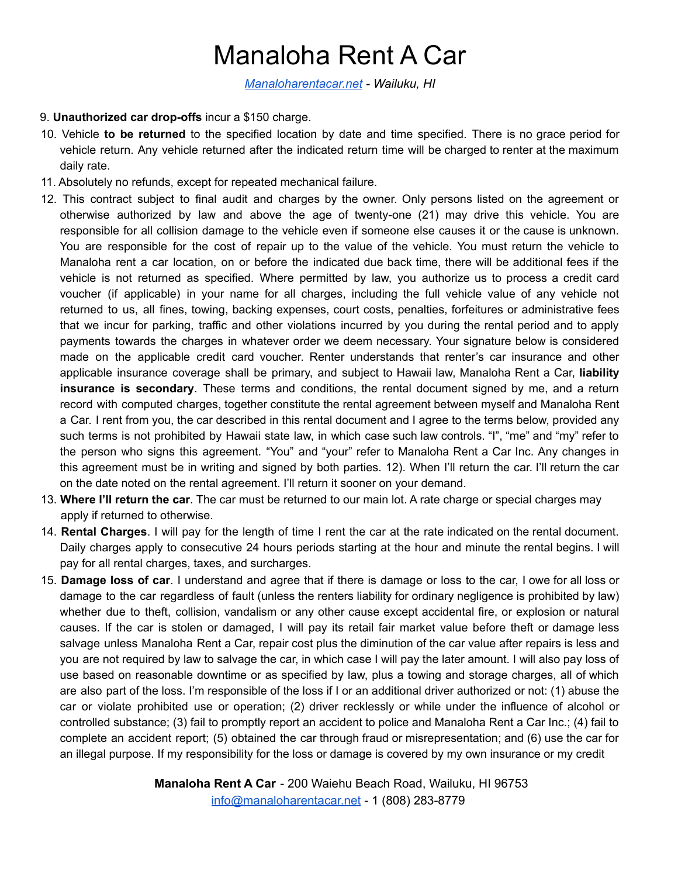## Manaloha Rent A Car

*Manaloharentacar.net - Wailuku, HI*

#### 9. **Unauthorized car drop-offs** incur a \$150 charge.

- 10. Vehicle **to be returned** to the specified location by date and time specified. There is no grace period for vehicle return. Any vehicle returned after the indicated return time will be charged to renter at the maximum daily rate.
- 11. Absolutely no refunds, except for repeated mechanical failure.
- 12. This contract subject to final audit and charges by the owner. Only persons listed on the agreement or otherwise authorized by law and above the age of twenty-one (21) may drive this vehicle. You are responsible for all collision damage to the vehicle even if someone else causes it or the cause is unknown. You are responsible for the cost of repair up to the value of the vehicle. You must return the vehicle to Manaloha rent a car location, on or before the indicated due back time, there will be additional fees if the vehicle is not returned as specified. Where permitted by law, you authorize us to process a credit card voucher (if applicable) in your name for all charges, including the full vehicle value of any vehicle not returned to us, all fines, towing, backing expenses, court costs, penalties, forfeitures or administrative fees that we incur for parking, traffic and other violations incurred by you during the rental period and to apply payments towards the charges in whatever order we deem necessary. Your signature below is considered made on the applicable credit card voucher. Renter understands that renter's car insurance and other applicable insurance coverage shall be primary, and subject to Hawaii law, Manaloha Rent a Car, **liability insurance is secondary**. These terms and conditions, the rental document signed by me, and a return record with computed charges, together constitute the rental agreement between myself and Manaloha Rent a Car. I rent from you, the car described in this rental document and I agree to the terms below, provided any such terms is not prohibited by Hawaii state law, in which case such law controls. "I", "me" and "my" refer to the person who signs this agreement. "You" and "your" refer to Manaloha Rent a Car Inc. Any changes in this agreement must be in writing and signed by both parties. 12). When I'll return the car. I'll return the car on the date noted on the rental agreement. I'll return it sooner on your demand.
- 13. **Where I'll return the car**. The car must be returned to our main lot. A rate charge or special charges may apply if returned to otherwise.
- 14. **Rental Charges**. I will pay for the length of time I rent the car at the rate indicated on the rental document. Daily charges apply to consecutive 24 hours periods starting at the hour and minute the rental begins. I will pay for all rental charges, taxes, and surcharges.
- 15. **Damage loss of car**. I understand and agree that if there is damage or loss to the car, I owe for all loss or damage to the car regardless of fault (unless the renters liability for ordinary negligence is prohibited by law) whether due to theft, collision, vandalism or any other cause except accidental fire, or explosion or natural causes. If the car is stolen or damaged, I will pay its retail fair market value before theft or damage less salvage unless Manaloha Rent a Car, repair cost plus the diminution of the car value after repairs is less and you are not required by law to salvage the car, in which case I will pay the later amount. I will also pay loss of use based on reasonable downtime or as specified by law, plus a towing and storage charges, all of which are also part of the loss. I'm responsible of the loss if I or an additional driver authorized or not: (1) abuse the car or violate prohibited use or operation; (2) driver recklessly or while under the influence of alcohol or controlled substance; (3) fail to promptly report an accident to police and Manaloha Rent a Car Inc.; (4) fail to complete an accident report; (5) obtained the car through fraud or misrepresentation; and (6) use the car for an illegal purpose. If my responsibility for the loss or damage is covered by my own insurance or my credit

**Manaloha Rent A Car** - 200 Waiehu Beach Road, Wailuku, HI 96753 info@manaloharentacar.net - 1 (808) 283-8779